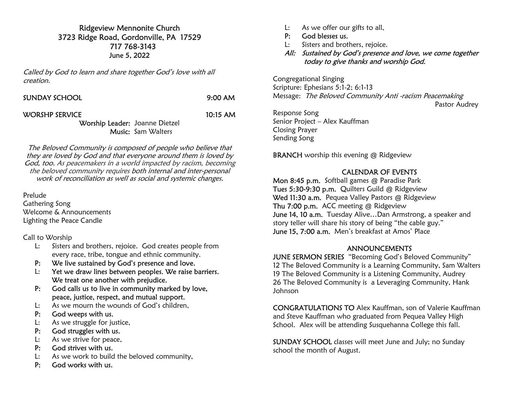# Ridgeview Mennonite Church 3723 Ridge Road, Gordonville, PA 17529 717 768-3143 June 5, 2022

Called by God to learn and share together God's love with all creation.

| <b>SUNDAY SCHOOL</b> | $9:00$ AM |
|----------------------|-----------|
|                      |           |

#### WORSHP SERVICE 10:15 AM

### Worship Leader: Joanne Dietzel Music: Sam Walters

The Beloved Community is composed of people who believe that they are loved by God and that everyone around them is loved by God, too. As peacemakers in a world impacted by racism, becoming the beloved community requires both internal and inter-personal work of reconciliation as well as social and systemic changes.

Prelude Gathering Song Welcome & Announcements Lighting the Peace Candle

Call to Worship

- L: Sisters and brothers, rejoice. God creates people from every race, tribe, tongue and ethnic community.
- P: We live sustained by God's presence and love.
- L: Yet we draw lines between peoples. We raise barriers. We treat one another with prejudice.
- P: God calls us to live in community marked by love, peace, justice, respect, and mutual support.
- L: As we mourn the wounds of God's children,
- P: God weeps with us.
- L: As we struggle for justice,
- P: God struggles with us.
- L: As we strive for peace,
- P: God strives with us.
- L: As we work to build the beloved community,
- P: God works with us.
- L: As we offer our gifts to all,
- P: God blesses us.
- L: Sisters and brothers, rejoice.
- All: Sustained by God's presence and love, we come together today to give thanks and worship God.

Congregational Singing Scripture: Ephesians 5:1-2; 6:1-13 Message: The Beloved Community Anti -racism Peacemaking Pastor Audrey Response Song

Senior Project – Alex Kauffman Closing Prayer Sending Song

BRANCH worship this evening @ Ridgeview

# CALENDAR OF EVENTS

Mon 8:45 p.m. Softball games @ Paradise Park Tues 5:30-9:30 p.m. Quilters Guild @ Ridgeview Wed 11:30 a.m. Pequea Valley Pastors @ Ridgeview Thu 7:00 p.m. ACC meeting @ Ridgeview June 14, 10 a.m. Tuesday Alive...Dan Armstrong, a speaker and story teller will share his story of being "the cable guy." June 15, 7:00 a.m. Men's breakfast at Amos' Place

# ANNOUNCEMENTS

JUNE SERMON SERIES "Becoming God's Beloved Community" 12 The Beloved Community is a Learning Community, Sam Walters 19 The Beloved Community is a Listening Community, Audrey 26 The Beloved Community is a Leveraging Community, Hank Johnson

CONGRATULATIONS TO Alex Kauffman, son of Valerie Kauffman and Steve Kauffman who graduated from Pequea Valley High School. Alex will be attending Susquehanna College this fall.

SUNDAY SCHOOL classes will meet June and July; no Sunday school the month of August.